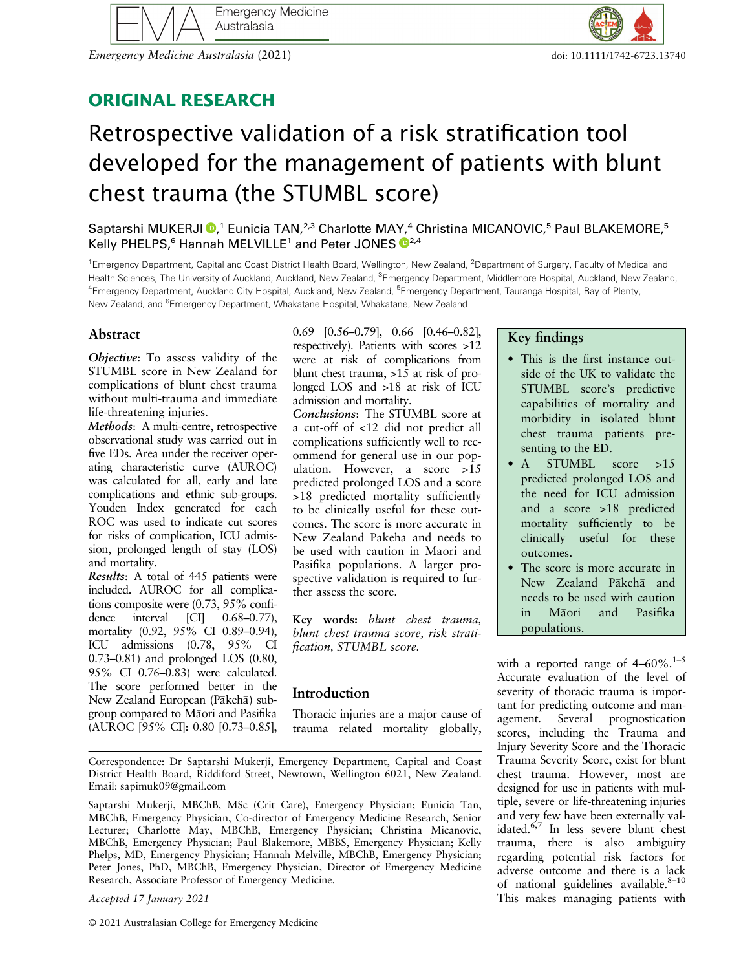

Emergency Medicine Australasia (2021) doi: 10.1111/1742-6723.13740

## ORIGINAL RESEARCH

# Retrospective validation of a risk stratification tool developed for the management of patients with blunt chest trauma (the STUMBL score)

Saptarshi MUKERJI <sup>®</sup>[,](https://orcid.org/0000-0002-1333-2018)<sup>1</sup> Eunicia TAN,<sup>2,3</sup> Charlotte MAY,<sup>4</sup> Christina MICANOVIC,<sup>5</sup> Paul BLAKEMORE,<sup>5</sup> Kelly PHELPS,<sup>6</sup> Hannah MELVILLE<sup>1</sup> and Peter JONES <sup>12,4</sup>

<sup>1</sup> Emergency Department, Capital and Coast District Health Board, Wellington, New Zealand, <sup>2</sup> Department of Surgery, Faculty of Medical and Health Sciences, The University of Auckland, Auckland, New Zealand, <sup>3</sup>Emergency Department, Middlemore Hospital, Auckland, New Zealand, <sup>4</sup>Emergency Department, Auckland City Hospital, Auckland, New Zealand, <sup>5</sup>Emergency Department, Tauranga Hospital, Bay of Plenty, New Zealand, and <sup>6</sup>Emergency Department, Whakatane Hospital, Whakatane, New Zealand

## Abstract

Objective: To assess validity of the STUMBL score in New Zealand for complications of blunt chest trauma without multi-trauma and immediate life-threatening injuries.

Methods: A multi-centre, retrospective observational study was carried out in five EDs. Area under the receiver operating characteristic curve (AUROC) was calculated for all, early and late complications and ethnic sub-groups. Youden Index generated for each ROC was used to indicate cut scores for risks of complication, ICU admission, prolonged length of stay (LOS) and mortality.

Results: A total of 445 patients were included. AUROC for all complications composite were  $(0.73, 95\% \text{ confi-}$ <br>dence interval [CI]  $0.68-0.77$ ),  $[CI]$  0.68–0.77), mortality (0.92, 95% CI 0.89–0.94), ICU admissions (0.78, 95% CI 0.73–0.81) and prolonged LOS (0.80, 95% CI 0.76–0.83) were calculated. The score performed better in the New Zealand European (Pākehā) subgroup compared to Maori and Pasifika (AUROC [95% CI]: 0.80 [0.73–0.85],

0.69 [0.56–0.79], 0.66 [0.46–0.82], respectively). Patients with scores >12 were at risk of complications from blunt chest trauma, >15 at risk of prolonged LOS and >18 at risk of ICU admission and mortality.

Conclusions: The STUMBL score at a cut-off of <12 did not predict all complications sufficiently well to recommend for general use in our population. However, a score >15 predicted prolonged LOS and a score >18 predicted mortality sufficiently to be clinically useful for these outcomes. The score is more accurate in New Zealand Pakeha and needs to be used with caution in Māori and Pasifika populations. A larger prospective validation is required to further assess the score.

Key words: blunt chest trauma, blunt chest trauma score, risk stratification, STUMBL score.

## Introduction

Thoracic injuries are a major cause of trauma related mortality globally,

Correspondence: Dr Saptarshi Mukerji, Emergency Department, Capital and Coast District Health Board, Riddiford Street, Newtown, Wellington 6021, New Zealand. Email: [sapimuk09@gmail.com](mailto:sapimuk09@gmail.com)

Saptarshi Mukerji, MBChB, MSc (Crit Care), Emergency Physician; Eunicia Tan, MBChB, Emergency Physician, Co-director of Emergency Medicine Research, Senior Lecturer; Charlotte May, MBChB, Emergency Physician; Christina Micanovic, MBChB, Emergency Physician; Paul Blakemore, MBBS, Emergency Physician; Kelly Phelps, MD, Emergency Physician; Hannah Melville, MBChB, Emergency Physician; Peter Jones, PhD, MBChB, Emergency Physician, Director of Emergency Medicine Research, Associate Professor of Emergency Medicine.

Accepted 17 January 2021

#### Key findings

- This is the first instance outside of the UK to validate the STUMBL score's predictive capabilities of mortality and morbidity in isolated blunt chest trauma patients presenting to the ED.
- A STUMBL score >15 predicted prolonged LOS and the need for ICU admission and a score >18 predicted mortality sufficiently to be clinically useful for these outcomes.
- The score is more accurate in New Zealand Pakeha and needs to be used with caution in Maori and Pasifika populations.

with a reported range of  $4-60\%$ .<sup>1-5</sup> Accurate evaluation of the level of severity of thoracic trauma is important for predicting outcome and man-<br>agement. Several prognostication agement. Several scores, including the Trauma and Injury Severity Score and the Thoracic Trauma Severity Score, exist for blunt chest trauma. However, most are designed for use in patients with multiple, severe or life-threatening injuries and very few have been externally validated.6,7 In less severe blunt chest trauma, there is also ambiguity regarding potential risk factors for adverse outcome and there is a lack of national guidelines available. $8-10$ This makes managing patients with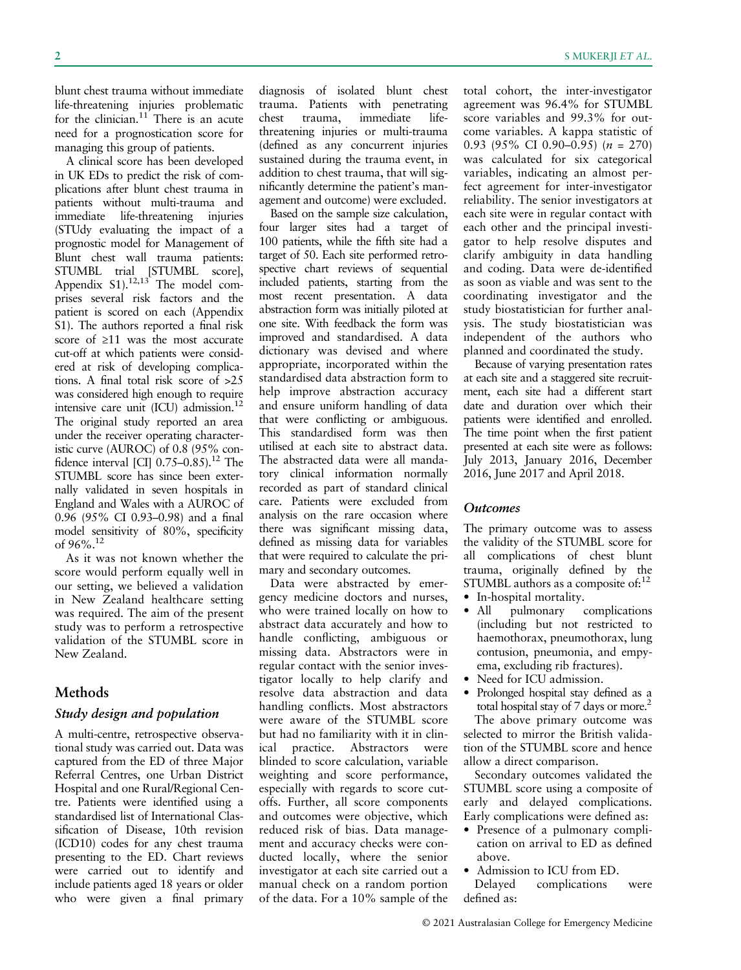blunt chest trauma without immediate life-threatening injuries problematic for the clinician. $11$  There is an acute need for a prognostication score for managing this group of patients.

A clinical score has been developed in UK EDs to predict the risk of complications after blunt chest trauma in patients without multi-trauma and immediate life-threatening injuries (STUdy evaluating the impact of a prognostic model for Management of Blunt chest wall trauma patients: STUMBL trial [STUMBL score], Appendix  $S1$ ).<sup>12,13</sup> The model comprises several risk factors and the patient is scored on each (Appendix S1). The authors reported a final risk score of ≥11 was the most accurate cut-off at which patients were considered at risk of developing complications. A final total risk score of >25 was considered high enough to require intensive care unit (ICU) admission.12 The original study reported an area under the receiver operating characteristic curve (AUROC) of 0.8 (95% confidence interval [CI]  $0.75-0.85$ ).<sup>12</sup> The STUMBL score has since been externally validated in seven hospitals in England and Wales with a AUROC of 0.96 (95% CI 0.93–0.98) and a final model sensitivity of 80%, specificity of 96%.12

As it was not known whether the score would perform equally well in our setting, we believed a validation in New Zealand healthcare setting was required. The aim of the present study was to perform a retrospective validation of the STUMBL score in New Zealand.

#### Methods

#### Study design and population

A multi-centre, retrospective observational study was carried out. Data was captured from the ED of three Major Referral Centres, one Urban District Hospital and one Rural/Regional Centre. Patients were identified using a standardised list of International Classification of Disease, 10th revision (ICD10) codes for any chest trauma presenting to the ED. Chart reviews were carried out to identify and include patients aged 18 years or older who were given a final primary

diagnosis of isolated blunt chest trauma. Patients with penetrating<br>chest trauma, immediate lifeimmediate lifethreatening injuries or multi-trauma (defined as any concurrent injuries sustained during the trauma event, in addition to chest trauma, that will significantly determine the patient's management and outcome) were excluded.

Based on the sample size calculation, four larger sites had a target of 100 patients, while the fifth site had a target of 50. Each site performed retrospective chart reviews of sequential included patients, starting from the most recent presentation. A data abstraction form was initially piloted at one site. With feedback the form was improved and standardised. A data dictionary was devised and where appropriate, incorporated within the standardised data abstraction form to help improve abstraction accuracy and ensure uniform handling of data that were conflicting or ambiguous. This standardised form was then utilised at each site to abstract data. The abstracted data were all mandatory clinical information normally recorded as part of standard clinical care. Patients were excluded from analysis on the rare occasion where there was significant missing data, defined as missing data for variables that were required to calculate the primary and secondary outcomes.

Data were abstracted by emergency medicine doctors and nurses, who were trained locally on how to abstract data accurately and how to handle conflicting, ambiguous or missing data. Abstractors were in regular contact with the senior investigator locally to help clarify and resolve data abstraction and data handling conflicts. Most abstractors were aware of the STUMBL score but had no familiarity with it in clinical practice. Abstractors were blinded to score calculation, variable weighting and score performance, especially with regards to score cutoffs. Further, all score components and outcomes were objective, which reduced risk of bias. Data management and accuracy checks were conducted locally, where the senior investigator at each site carried out a manual check on a random portion of the data. For a 10% sample of the total cohort, the inter-investigator agreement was 96.4% for STUMBL score variables and 99.3% for outcome variables. A kappa statistic of 0.93 (95% CI 0.90–0.95) ( $n = 270$ ) was calculated for six categorical variables, indicating an almost perfect agreement for inter-investigator reliability. The senior investigators at each site were in regular contact with each other and the principal investigator to help resolve disputes and clarify ambiguity in data handling and coding. Data were de-identified as soon as viable and was sent to the coordinating investigator and the study biostatistician for further analysis. The study biostatistician was independent of the authors who planned and coordinated the study.

Because of varying presentation rates at each site and a staggered site recruitment, each site had a different start date and duration over which their patients were identified and enrolled. The time point when the first patient presented at each site were as follows: July 2013, January 2016, December 2016, June 2017 and April 2018.

#### **Outcomes**

The primary outcome was to assess the validity of the STUMBL score for all complications of chest blunt trauma, originally defined by the STUMBL authors as a composite of: $12$ 

- In-hospital mortality.
- All pulmonary complications (including but not restricted to haemothorax, pneumothorax, lung contusion, pneumonia, and empyema, excluding rib fractures).
- Need for ICU admission.
- Prolonged hospital stay defined as a total hospital stay of 7 days or more.<sup>2</sup> The above primary outcome was selected to mirror the British validation of the STUMBL score and hence allow a direct comparison.

Secondary outcomes validated the STUMBL score using a composite of early and delayed complications. Early complications were defined as:

- Presence of a pulmonary complication on arrival to ED as defined above.
- Admission to ICU from ED.

Delayed complications were defined as: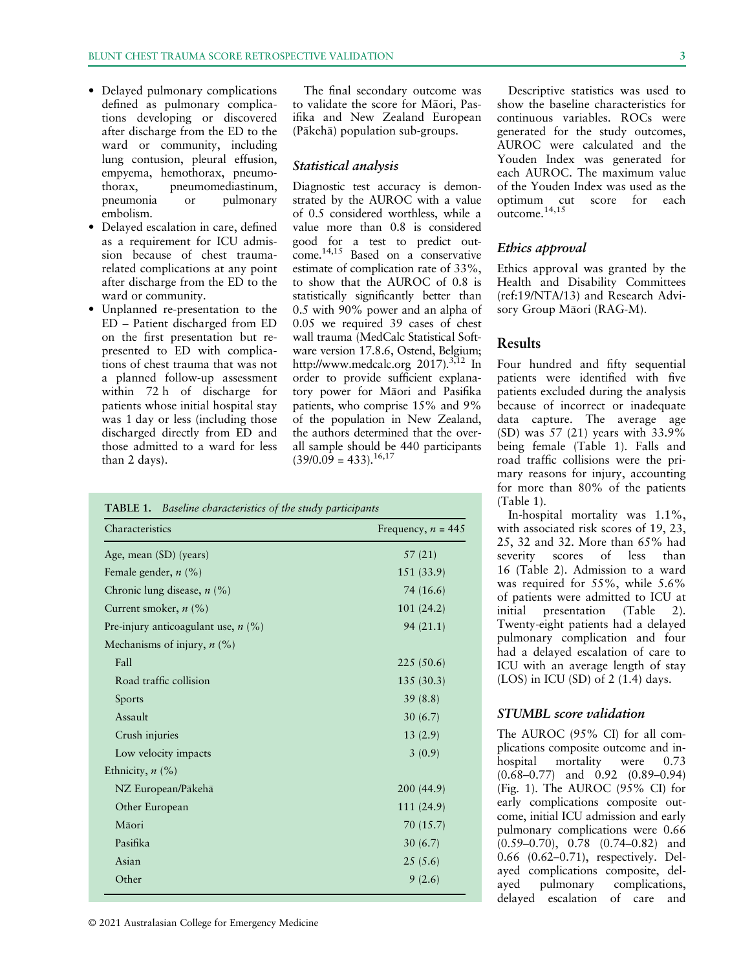- Delayed pulmonary complications defined as pulmonary complications developing or discovered after discharge from the ED to the ward or community, including lung contusion, pleural effusion, empyema, hemothorax, pneumothorax, pneumomediastinum, pneumonia or pulmonary embolism.
- Delayed escalation in care, defined as a requirement for ICU admission because of chest traumarelated complications at any point after discharge from the ED to the ward or community.
- Unplanned re-presentation to the ED – Patient discharged from ED on the first presentation but represented to ED with complications of chest trauma that was not a planned follow-up assessment within 72 h of discharge for patients whose initial hospital stay was 1 day or less (including those discharged directly from ED and those admitted to a ward for less than 2 days).

The final secondary outcome was to validate the score for Maori, Pasifika and New Zealand European (Pakeha) population sub-groups.

#### Statistical analysis

Diagnostic test accuracy is demonstrated by the AUROC with a value of 0.5 considered worthless, while a value more than 0.8 is considered good for a test to predict outcome.14,15 Based on a conservative estimate of complication rate of 33%, to show that the AUROC of 0.8 is statistically significantly better than 0.5 with 90% power and an alpha of 0.05 we required 39 cases of chest wall trauma (MedCalc Statistical Software version 17.8.6, Ostend, Belgium; <http://www.medcalc.org> 2017).<sup>3,12</sup> In order to provide sufficient explanatory power for Maori and Pasifika patients, who comprise 15% and 9% of the population in New Zealand, the authors determined that the overall sample should be 440 participants  $(39/0.09 = 433).^{16,17}$ 

| Characteristics                       | Frequency, $n = 445$ |
|---------------------------------------|----------------------|
| Age, mean (SD) (years)                | 57 (21)              |
| Female gender, $n$ (%)                | 151 (33.9)           |
| Chronic lung disease, $n$ (%)         | 74 (16.6)            |
| Current smoker, $n$ (%)               | 101(24.2)            |
| Pre-injury anticoagulant use, $n$ (%) | 94(21.1)             |
| Mechanisms of injury, $n$ (%)         |                      |
| Fall                                  | 225(50.6)            |
| Road traffic collision                | 135(30.3)            |
| Sports                                | 39(8.8)              |
| Assault                               | 30(6.7)              |
| Crush injuries                        | 13(2.9)              |
| Low velocity impacts                  | 3(0.9)               |
| Ethnicity, $n$ (%)                    |                      |
| NZ European/Pākehā                    | 200 (44.9)           |
| Other European                        | 111 (24.9)           |
| Māori                                 | 70 (15.7)            |
| Pasifika                              | 30(6.7)              |
| Asian                                 | 25(5.6)              |
| Other                                 | 9(2.6)               |

© 2021 Australasian College for Emergency Medicine

Descriptive statistics was used to show the baseline characteristics for continuous variables. ROCs were generated for the study outcomes, AUROC were calculated and the Youden Index was generated for each AUROC. The maximum value of the Youden Index was used as the optimum cut score for each outcome.14,15

#### Ethics approval

Ethics approval was granted by the Health and Disability Committees (ref:19/NTA/13) and Research Advisory Group Māori (RAG-M).

#### Results

Four hundred and fifty sequential patients were identified with five patients excluded during the analysis because of incorrect or inadequate data capture. The average age (SD) was 57 (21) years with 33.9% being female (Table 1). Falls and road traffic collisions were the primary reasons for injury, accounting for more than 80% of the patients (Table 1).

In-hospital mortality was 1.1%, with associated risk scores of 19, 23, 25, 32 and 32. More than 65% had severity scores of less than 16 (Table 2). Admission to a ward was required for 55%, while 5.6% of patients were admitted to ICU at initial presentation (Table 2). Twenty-eight patients had a delayed pulmonary complication and four had a delayed escalation of care to ICU with an average length of stay  $(LOS)$  in ICU  $(SD)$  of 2  $(1.4)$  days.

#### STUMBL score validation

The AUROC (95% CI) for all complications composite outcome and inhospital mortality were 0.73 (0.68–0.77) and 0.92 (0.89–0.94) (Fig. 1). The AUROC (95% CI) for early complications composite outcome, initial ICU admission and early pulmonary complications were 0.66 (0.59–0.70), 0.78 (0.74–0.82) and 0.66 (0.62–0.71), respectively. Delayed complications composite, delayed pulmonary complications, delayed escalation of care and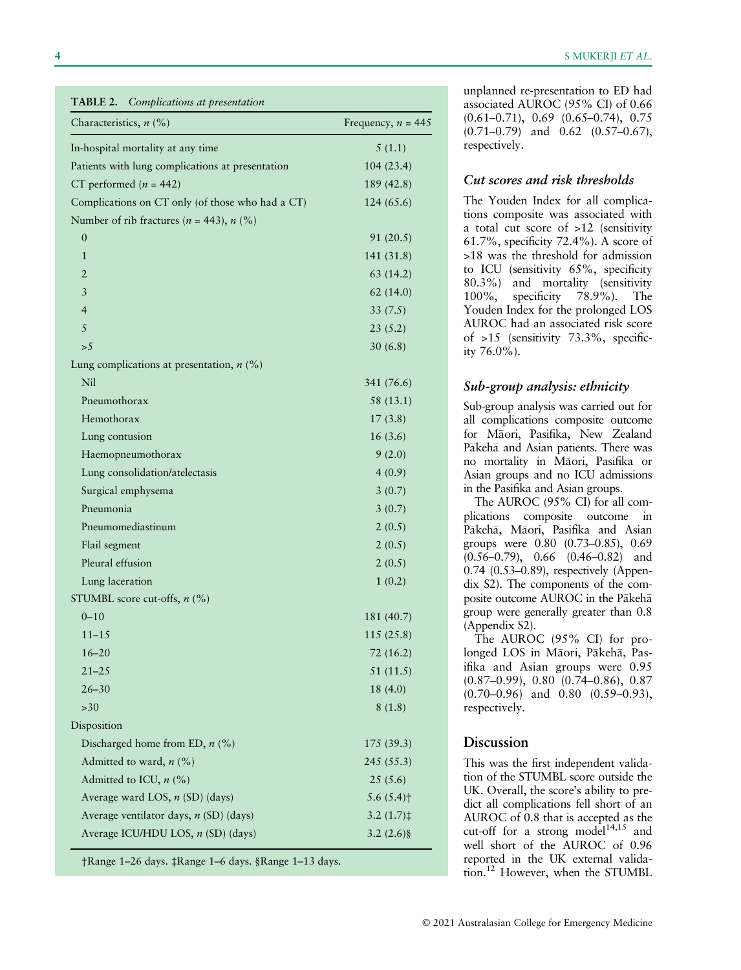**5 MUKERJI ET AL.** 

| TABLE 2. | Complications at presentation |  |
|----------|-------------------------------|--|
|----------|-------------------------------|--|

| complications at presentation<br>Characteristics, $n$ (%) | Frequency, $n = 445$     |
|-----------------------------------------------------------|--------------------------|
| In-hospital mortality at any time                         | 5(1.1)                   |
| Patients with lung complications at presentation          | 104(23.4)                |
| CT performed ( $n = 442$ )                                | 189 (42.8)               |
| Complications on CT only (of those who had a CT)          | 124(65.6)                |
| Number of rib fractures ( $n = 443$ ), $n$ (%)            |                          |
| $\boldsymbol{0}$                                          | 91 (20.5)                |
| $\mathbf{1}$                                              | 141 (31.8)               |
| 2                                                         | 63 (14.2)                |
| 3                                                         | 62(14.0)                 |
| $\overline{4}$                                            | 33(7.5)                  |
| 5                                                         | 23(5.2)                  |
| >5                                                        | 30(6.8)                  |
| Lung complications at presentation, $n$ (%)               |                          |
| Nil                                                       | 341 (76.6)               |
| Pneumothorax                                              | 58 (13.1)                |
| Hemothorax                                                | 17(3.8)                  |
| Lung contusion                                            | 16(3.6)                  |
| Haemopneumothorax                                         | 9(2.0)                   |
| Lung consolidation/atelectasis                            | 4(0.9)                   |
| Surgical emphysema                                        | 3(0.7)                   |
| Pneumonia                                                 | 3(0.7)                   |
| Pneumomediastinum                                         | 2(0.5)                   |
| Flail segment                                             | 2(0.5)                   |
| Pleural effusion                                          | 2(0.5)                   |
| Lung laceration                                           | 1(0.2)                   |
| STUMBL score cut-offs, $n$ (%)                            |                          |
| $0 - 10$                                                  | 181 (40.7)               |
| $11 - 15$                                                 | 115(25.8)                |
| $16 - 20$                                                 | 72(16.2)                 |
| $21 - 25$                                                 | 51 (11.5)                |
| $26 - 30$                                                 | 18(4.0)                  |
| >30                                                       | 8(1.8)                   |
| Disposition                                               |                          |
| Discharged home from ED, $n$ (%)                          | 175 (39.3)               |
| Admitted to ward, $n$ (%)                                 | 245 (55.3)               |
| Admitted to ICU, $n$ (%)                                  | 25(5.6)                  |
| Average ward LOS, n (SD) (days)                           | 5.6 $(5.4)$ <sup>+</sup> |
| Average ventilator days, $n$ (SD) (days)                  | $3.2(1.7)$ ‡             |
| Average ICU/HDU LOS, n (SD) (days)                        | $3.2(2.6)\$              |

†Range 1–26 days. ‡Range 1–6 days. §Range 1–13 days.

unplanned re-presentation to ED had associated AUROC (95% CI) of 0.66 (0.61–0.71), 0.69 (0.65–0.74), 0.75 (0.71–0.79) and 0.62 (0.57–0.67), respectively.

#### Cut scores and risk thresholds

The Youden Index for all complications composite was associated with a total cut score of >12 (sensitivity 61.7%, specificity 72.4%). A score of >18 was the threshold for admission to ICU (sensitivity 65%, specificity 80.3%) and mortality (sensitivity 100%, specificity 78.9%). The Youden Index for the prolonged LOS AUROC had an associated risk score of >15 (sensitivity 73.3%, specificity 76.0%).

#### Sub-group analysis: ethnicity

Sub-group analysis was carried out for all complications composite outcome for Maori, Pasifika, New Zealand Pākehā and Asian patients. There was no mortality in Maori, Pasifika or Asian groups and no ICU admissions in the Pasifika and Asian groups.

The AUROC (95% CI) for all complications composite outcome in Pākehā, Māori, Pasifika and Asian groups were 0.80 (0.73–0.85), 0.69 (0.56–0.79), 0.66 (0.46–0.82) and 0.74 (0.53–0.89), respectively (Appendix S2). The components of the composite outcome AUROC in the Pakeha group were generally greater than 0.8 (Appendix S2).

The AUROC (95% CI) for prolonged LOS in Māori, Pākehā, Pasifika and Asian groups were 0.95 (0.87–0.99), 0.80 (0.74–0.86), 0.87 (0.70–0.96) and 0.80 (0.59–0.93), respectively.

#### Discussion

This was the first independent validation of the STUMBL score outside the UK. Overall, the score's ability to predict all complications fell short of an AUROC of 0.8 that is accepted as the cut-off for a strong model<sup>14,15</sup> and well short of the AUROC of 0.96 reported in the UK external validation.12 However, when the STUMBL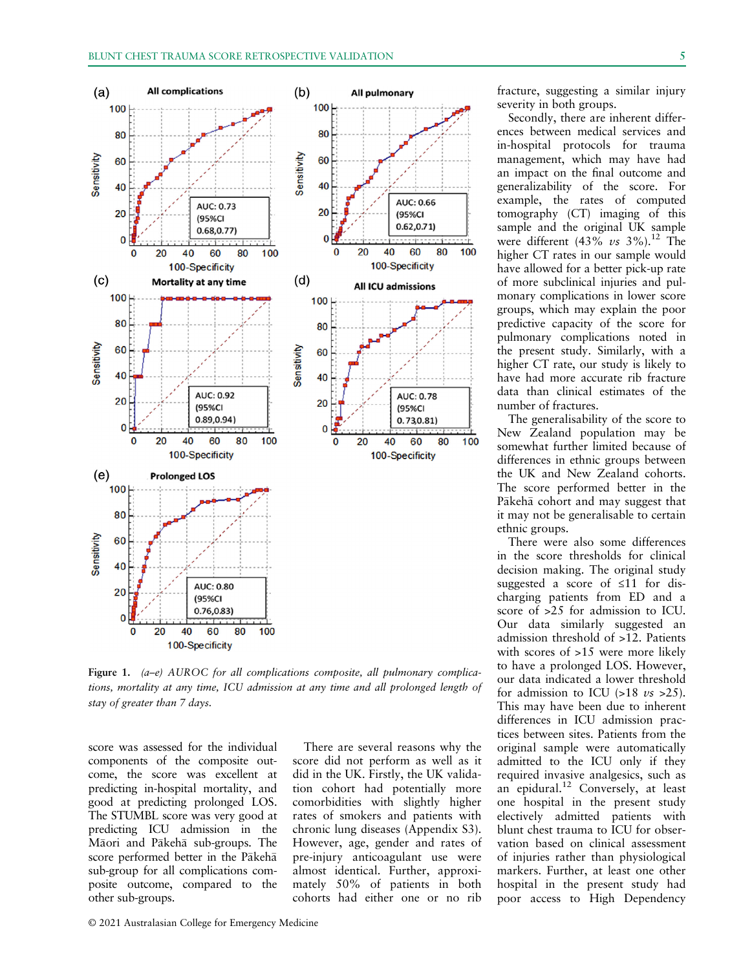

Figure 1. (a–e) AUROC for all complications composite, all pulmonary complications, mortality at any time, ICU admission at any time and all prolonged length of stay of greater than 7 days.

score was assessed for the individual components of the composite outcome, the score was excellent at predicting in-hospital mortality, and good at predicting prolonged LOS. The STUMBL score was very good at predicting ICU admission in the Maori and Pakeha sub-groups. The score performed better in the Pākehā sub-group for all complications composite outcome, compared to the other sub-groups.

There are several reasons why the score did not perform as well as it did in the UK. Firstly, the UK validation cohort had potentially more comorbidities with slightly higher rates of smokers and patients with chronic lung diseases (Appendix S3). However, age, gender and rates of pre-injury anticoagulant use were almost identical. Further, approximately 50% of patients in both cohorts had either one or no rib fracture, suggesting a similar injury severity in both groups.

Secondly, there are inherent differences between medical services and in-hospital protocols for trauma management, which may have had an impact on the final outcome and generalizability of the score. For example, the rates of computed tomography (CT) imaging of this sample and the original UK sample were different  $(43\%$  vs  $3\%$ ).<sup>12</sup> The higher CT rates in our sample would have allowed for a better pick-up rate of more subclinical injuries and pulmonary complications in lower score groups, which may explain the poor predictive capacity of the score for pulmonary complications noted in the present study. Similarly, with a higher CT rate, our study is likely to have had more accurate rib fracture data than clinical estimates of the number of fractures.

The generalisability of the score to New Zealand population may be somewhat further limited because of differences in ethnic groups between the UK and New Zealand cohorts. The score performed better in the Pākehā cohort and may suggest that it may not be generalisable to certain ethnic groups.

There were also some differences in the score thresholds for clinical decision making. The original study suggested a score of ≤11 for discharging patients from ED and a score of >25 for admission to ICU. Our data similarly suggested an admission threshold of >12. Patients with scores of >15 were more likely to have a prolonged LOS. However, our data indicated a lower threshold for admission to ICU  $(>18 \text{ vs } >25)$ . This may have been due to inherent differences in ICU admission practices between sites. Patients from the original sample were automatically admitted to the ICU only if they required invasive analgesics, such as an epidural.<sup>12</sup> Conversely, at least one hospital in the present study electively admitted patients with blunt chest trauma to ICU for observation based on clinical assessment of injuries rather than physiological markers. Further, at least one other hospital in the present study had poor access to High Dependency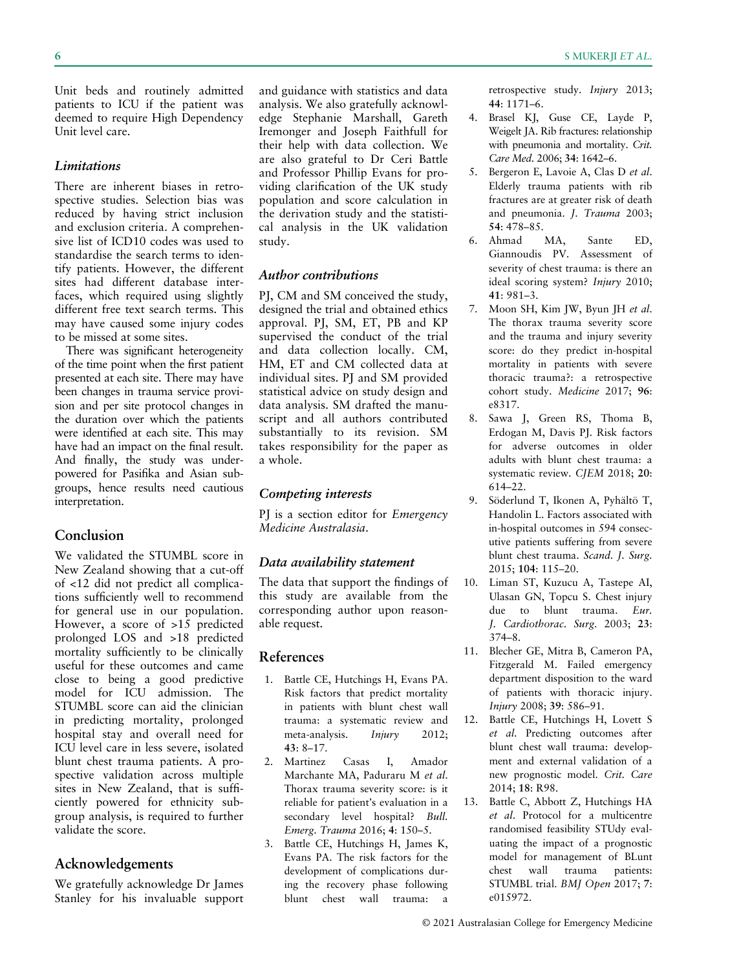Unit beds and routinely admitted patients to ICU if the patient was deemed to require High Dependency Unit level care.

#### **Limitations**

There are inherent biases in retrospective studies. Selection bias was reduced by having strict inclusion and exclusion criteria. A comprehensive list of ICD10 codes was used to standardise the search terms to identify patients. However, the different sites had different database interfaces, which required using slightly different free text search terms. This may have caused some injury codes to be missed at some sites.

There was significant heterogeneity of the time point when the first patient presented at each site. There may have been changes in trauma service provision and per site protocol changes in the duration over which the patients were identified at each site. This may have had an impact on the final result. And finally, the study was underpowered for Pasifika and Asian subgroups, hence results need cautious interpretation.

## Conclusion

We validated the STUMBL score in New Zealand showing that a cut-off of <12 did not predict all complications sufficiently well to recommend for general use in our population. However, a score of >15 predicted prolonged LOS and >18 predicted mortality sufficiently to be clinically useful for these outcomes and came close to being a good predictive model for ICU admission. The STUMBL score can aid the clinician in predicting mortality, prolonged hospital stay and overall need for ICU level care in less severe, isolated blunt chest trauma patients. A prospective validation across multiple sites in New Zealand, that is sufficiently powered for ethnicity subgroup analysis, is required to further validate the score.

## Acknowledgements

We gratefully acknowledge Dr James Stanley for his invaluable support and guidance with statistics and data analysis. We also gratefully acknowledge Stephanie Marshall, Gareth Iremonger and Joseph Faithfull for their help with data collection. We are also grateful to Dr Ceri Battle and Professor Phillip Evans for providing clarification of the UK study population and score calculation in the derivation study and the statistical analysis in the UK validation study.

## Author contributions

PJ, CM and SM conceived the study, designed the trial and obtained ethics approval. PJ, SM, ET, PB and KP supervised the conduct of the trial and data collection locally. CM, HM, ET and CM collected data at individual sites. PJ and SM provided statistical advice on study design and data analysis. SM drafted the manuscript and all authors contributed substantially to its revision. SM takes responsibility for the paper as a whole.

## Competing interests

PJ is a section editor for *Emergency* Medicine Australasia.

## Data availability statement

The data that support the findings of this study are available from the corresponding author upon reasonable request.

## References

- 1. Battle CE, Hutchings H, Evans PA. Risk factors that predict mortality in patients with blunt chest wall trauma: a systematic review and meta-analysis. *Injury* 2012; 43: 8–17.
- 2. Martinez Casas I, Amador Marchante MA, Paduraru M et al. Thorax trauma severity score: is it reliable for patient's evaluation in a secondary level hospital? Bull. Emerg. Trauma 2016; 4: 150–5.
- 3. Battle CE, Hutchings H, James K, Evans PA. The risk factors for the development of complications during the recovery phase following blunt chest wall trauma: a

retrospective study. Injury 2013; 44: 1171–6.

- 4. Brasel KJ, Guse CE, Layde P, Weigelt JA. Rib fractures: relationship with pneumonia and mortality. Crit. Care Med. 2006; 34: 1642–6.
- 5. Bergeron E, Lavoie A, Clas D et al. Elderly trauma patients with rib fractures are at greater risk of death and pneumonia. J. Trauma 2003; 54: 478–85.
- 6. Ahmad MA, Sante ED, Giannoudis PV. Assessment of severity of chest trauma: is there an ideal scoring system? Injury 2010; 41: 981–3.
- 7. Moon SH, Kim JW, Byun JH et al. The thorax trauma severity score and the trauma and injury severity score: do they predict in-hospital mortality in patients with severe thoracic trauma?: a retrospective cohort study. Medicine 2017; 96: e8317.
- 8. Sawa J, Green RS, Thoma B, Erdogan M, Davis PJ. Risk factors for adverse outcomes in older adults with blunt chest trauma: a systematic review. CJEM 2018; 20: 614–22.
- 9. Söderlund T, Ikonen A, Pyhältö T, Handolin L. Factors associated with in-hospital outcomes in 594 consecutive patients suffering from severe blunt chest trauma. Scand. J. Surg. 2015; 104: 115–20.
- 10. Liman ST, Kuzucu A, Tastepe AI, Ulasan GN, Topcu S. Chest injury due to blunt trauma. Eur. J. Cardiothorac. Surg. 2003; 23: 374–8.
- 11. Blecher GE, Mitra B, Cameron PA, Fitzgerald M. Failed emergency department disposition to the ward of patients with thoracic injury. Injury 2008; 39: 586–91.
- 12. Battle CE, Hutchings H, Lovett S et al. Predicting outcomes after blunt chest wall trauma: development and external validation of a new prognostic model. Crit. Care 2014; 18: R98.
- 13. Battle C, Abbott Z, Hutchings HA et al. Protocol for a multicentre randomised feasibility STUdy evaluating the impact of a prognostic model for management of BLunt chest wall trauma patients: STUMBL trial. BMJ Open 2017; 7: e015972.